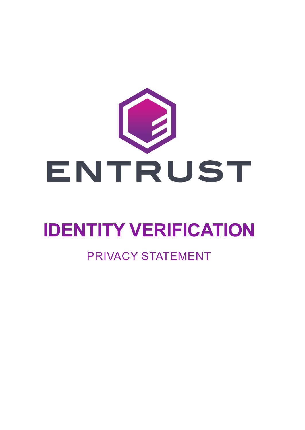

# **IDENTITY VERIFICATION**

### PRIVACY STATEMENT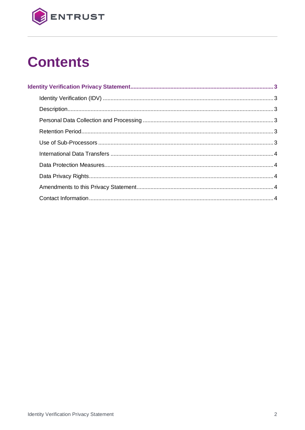

## **Contents**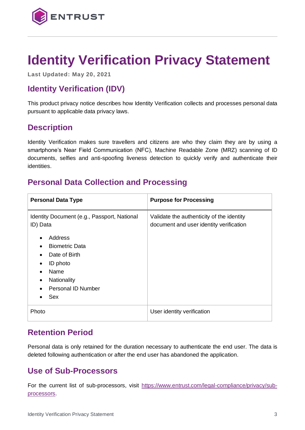

### <span id="page-2-0"></span>**Identity Verification Privacy Statement**

**Last Updated: May 20, 2021**

#### <span id="page-2-1"></span>**Identity Verification (IDV)**

This product privacy notice describes how Identity Verification collects and processes personal data pursuant to applicable data privacy laws.

#### <span id="page-2-2"></span>**Description**

Identity Verification makes sure travellers and citizens are who they claim they are by using a smartphone's Near Field Communication (NFC), Machine Readable Zone (MRZ) scanning of ID documents, selfies and anti-spoofing liveness detection to quickly verify and authenticate their identities.

#### <span id="page-2-3"></span>**Personal Data Collection and Processing**

| <b>Personal Data Type</b>                               | <b>Purpose for Processing</b>                                                        |
|---------------------------------------------------------|--------------------------------------------------------------------------------------|
| Identity Document (e.g., Passport, National<br>ID) Data | Validate the authenticity of the identity<br>document and user identity verification |
| Address                                                 |                                                                                      |
| <b>Biometric Data</b>                                   |                                                                                      |
| Date of Birth                                           |                                                                                      |
| ID photo                                                |                                                                                      |
| Name                                                    |                                                                                      |
| Nationality                                             |                                                                                      |
| <b>Personal ID Number</b>                               |                                                                                      |
| <b>Sex</b>                                              |                                                                                      |
| Photo                                                   | User identity verification                                                           |

#### <span id="page-2-4"></span>**Retention Period**

Personal data is only retained for the duration necessary to authenticate the end user. The data is deleted following authentication or after the end user has abandoned the application.

#### <span id="page-2-5"></span>**Use of Sub-Processors**

For the current list of sub-processors, visit [https://www.entrust.com/legal-compliance/privacy/sub](https://www.entrust.com/legal-compliance/privacy/sub-processors)[processors.](https://www.entrust.com/legal-compliance/privacy/sub-processors)